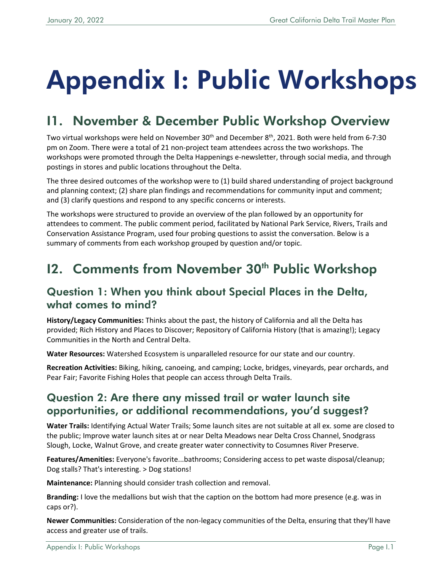# Appendix I: Public Workshops

# I1. November & December Public Workshop Overview

Two virtual workshops were held on November 30<sup>th</sup> and December 8<sup>th</sup>, 2021. Both were held from 6-7:30 pm on Zoom. There were a total of 21 non-project team attendees across the two workshops. The workshops were promoted through the Delta Happenings e-newsletter, through social media, and through postings in stores and public locations throughout the Delta.

The three desired outcomes of the workshop were to (1) build shared understanding of project background and planning context; (2) share plan findings and recommendations for community input and comment; and (3) clarify questions and respond to any specific concerns or interests.

The workshops were structured to provide an overview of the plan followed by an opportunity for attendees to comment. The public comment period, facilitated by National Park Service, Rivers, Trails and Conservation Assistance Program, used four probing questions to assist the conversation. Below is a summary of comments from each workshop grouped by question and/or topic.

## 12. Comments from November 30<sup>th</sup> Public Workshop

#### Question 1: When you think about Special Places in the Delta, what comes to mind?

**History/Legacy Communities:** Thinks about the past, the history of California and all the Delta has provided; Rich History and Places to Discover; Repository of California History (that is amazing!); Legacy Communities in the North and Central Delta.

**Water Resources:** Watershed Ecosystem is unparalleled resource for our state and our country.

**Recreation Activities:** Biking, hiking, canoeing, and camping; Locke, bridges, vineyards, pear orchards, and Pear Fair; Favorite Fishing Holes that people can access through Delta Trails.

### Question 2: Are there any missed trail or water launch site opportunities, or additional recommendations, you'd suggest?

**Water Trails:** Identifying Actual Water Trails; Some launch sites are not suitable at all ex. some are closed to the public; Improve water launch sites at or near Delta Meadows near Delta Cross Channel, Snodgrass Slough, Locke, Walnut Grove, and create greater water connectivity to Cosumnes River Preserve.

**Features/Amenities:** Everyone's favorite...bathrooms; Considering access to pet waste disposal/cleanup; Dog stalls? That's interesting. > Dog stations!

**Maintenance:** Planning should consider trash collection and removal.

**Branding:** I love the medallions but wish that the caption on the bottom had more presence (e.g. was in caps or?).

**Newer Communities:** Consideration of the non-legacy communities of the Delta, ensuring that they'll have access and greater use of trails.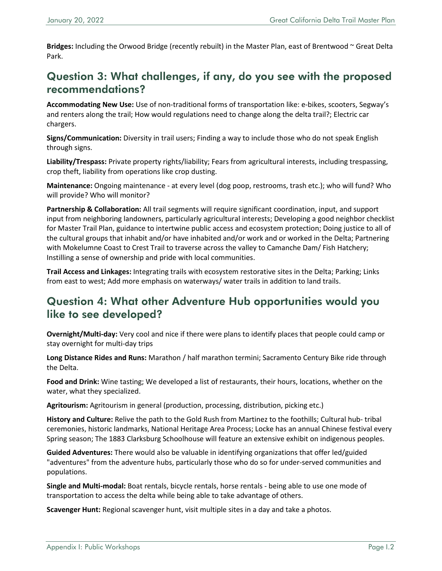**Bridges:** Including the Orwood Bridge (recently rebuilt) in the Master Plan, east of Brentwood ~ Great Delta Park.

## Question 3: What challenges, if any, do you see with the proposed recommendations?

**Accommodating New Use:** Use of non-traditional forms of transportation like: e-bikes, scooters, Segway's and renters along the trail; How would regulations need to change along the delta trail?; Electric car chargers.

**Signs/Communication:** Diversity in trail users; Finding a way to include those who do not speak English through signs.

**Liability/Trespass:** Private property rights/liability; Fears from agricultural interests, including trespassing, crop theft, liability from operations like crop dusting.

**Maintenance:** Ongoing maintenance - at every level (dog poop, restrooms, trash etc.); who will fund? Who will provide? Who will monitor?

**Partnership & Collaboration:** All trail segments will require significant coordination, input, and support input from neighboring landowners, particularly agricultural interests; Developing a good neighbor checklist for Master Trail Plan, guidance to intertwine public access and ecosystem protection; Doing justice to all of the cultural groups that inhabit and/or have inhabited and/or work and or worked in the Delta; Partnering with Mokelumne Coast to Crest Trail to traverse across the valley to Camanche Dam/ Fish Hatchery; Instilling a sense of ownership and pride with local communities.

**Trail Access and Linkages:** Integrating trails with ecosystem restorative sites in the Delta; Parking; Links from east to west; Add more emphasis on waterways/ water trails in addition to land trails.

## Question 4: What other Adventure Hub opportunities would you like to see developed?

**Overnight/Multi-day:** Very cool and nice if there were plans to identify places that people could camp or stay overnight for multi-day trips

**Long Distance Rides and Runs:** Marathon / half marathon termini; Sacramento Century Bike ride through the Delta.

**Food and Drink:** Wine tasting; We developed a list of restaurants, their hours, locations, whether on the water, what they specialized.

**Agritourism:** Agritourism in general (production, processing, distribution, picking etc.)

**History and Culture:** Relive the path to the Gold Rush from Martinez to the foothills; Cultural hub- tribal ceremonies, historic landmarks, National Heritage Area Process; Locke has an annual Chinese festival every Spring season; The 1883 Clarksburg Schoolhouse will feature an extensive exhibit on indigenous peoples.

**Guided Adventures:** There would also be valuable in identifying organizations that offer led/guided "adventures" from the adventure hubs, particularly those who do so for under-served communities and populations.

**Single and Multi-modal:** Boat rentals, bicycle rentals, horse rentals - being able to use one mode of transportation to access the delta while being able to take advantage of others.

**Scavenger Hunt:** Regional scavenger hunt, visit multiple sites in a day and take a photos.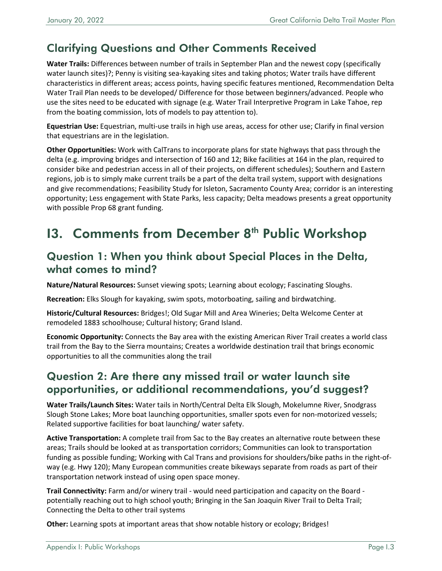## Clarifying Questions and Other Comments Received

**Water Trails:** Differences between number of trails in September Plan and the newest copy (specifically water launch sites)?; Penny is visiting sea-kayaking sites and taking photos; Water trails have different characteristics in different areas; access points, having specific features mentioned, Recommendation Delta Water Trail Plan needs to be developed/ Difference for those between beginners/advanced. People who use the sites need to be educated with signage (e.g. Water Trail Interpretive Program in Lake Tahoe, rep from the boating commission, lots of models to pay attention to).

**Equestrian Use:** Equestrian, multi-use trails in high use areas, access for other use; Clarify in final version that equestrians are in the legislation.

**Other Opportunities:** Work with CalTrans to incorporate plans for state highways that pass through the delta (e.g. improving bridges and intersection of 160 and 12; Bike facilities at 164 in the plan, required to consider bike and pedestrian access in all of their projects, on different schedules); Southern and Eastern regions, job is to simply make current trails be a part of the delta trail system, support with designations and give recommendations; Feasibility Study for Isleton, Sacramento County Area; corridor is an interesting opportunity; Less engagement with State Parks, less capacity; Delta meadows presents a great opportunity with possible Prop 68 grant funding.

# **13. Comments from December 8th Public Workshop**

#### Question 1: When you think about Special Places in the Delta, what comes to mind?

**Nature/Natural Resources:** Sunset viewing spots; Learning about ecology; Fascinating Sloughs.

**Recreation:** Elks Slough for kayaking, swim spots, motorboating, sailing and birdwatching.

**Historic/Cultural Resources:** Bridges!; Old Sugar Mill and Area Wineries; Delta Welcome Center at remodeled 1883 schoolhouse; Cultural history; Grand Island.

**Economic Opportunity:** Connects the Bay area with the existing American River Trail creates a world class trail from the Bay to the Sierra mountains; Creates a worldwide destination trail that brings economic opportunities to all the communities along the trail

## Question 2: Are there any missed trail or water launch site opportunities, or additional recommendations, you'd suggest?

**Water Trails/Launch Sites:** Water tails in North/Central Delta Elk Slough, Mokelumne River, Snodgrass Slough Stone Lakes; More boat launching opportunities, smaller spots even for non-motorized vessels; Related supportive facilities for boat launching/ water safety.

**Active Transportation:** A complete trail from Sac to the Bay creates an alternative route between these areas; Trails should be looked at as transportation corridors; Communities can look to transportation funding as possible funding; Working with Cal Trans and provisions for shoulders/bike paths in the right-ofway (e.g. Hwy 120); Many European communities create bikeways separate from roads as part of their transportation network instead of using open space money.

**Trail Connectivity:** Farm and/or winery trail - would need participation and capacity on the Board potentially reaching out to high school youth; Bringing in the San Joaquin River Trail to Delta Trail; Connecting the Delta to other trail systems

**Other:** Learning spots at important areas that show notable history or ecology; Bridges!